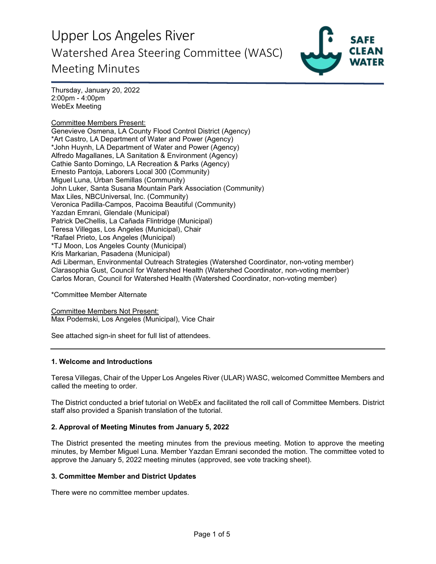

Thursday, January 20, 2022 2:00pm - 4:00pm WebEx Meeting

Committee Members Present: Genevieve Osmena, LA County Flood Control District (Agency) \*Art Castro, LA Department of Water and Power (Agency) \*John Huynh, LA Department of Water and Power (Agency) Alfredo Magallanes, LA Sanitation & Environment (Agency) Cathie Santo Domingo, LA Recreation & Parks (Agency) Ernesto Pantoja, Laborers Local 300 (Community) Miguel Luna, Urban Semillas (Community) John Luker, Santa Susana Mountain Park Association (Community) Max Liles, NBCUniversal, Inc. (Community) Veronica Padilla-Campos, Pacoima Beautiful (Community) Yazdan Emrani, Glendale (Municipal) Patrick DeChellis, La Cañada Flintridge (Municipal) Teresa Villegas, Los Angeles (Municipal), Chair \*Rafael Prieto, Los Angeles (Municipal) \*TJ Moon, Los Angeles County (Municipal) Kris Markarian, Pasadena (Municipal) Adi Liberman, Environmental Outreach Strategies (Watershed Coordinator, non-voting member) Clarasophia Gust, Council for Watershed Health (Watershed Coordinator, non-voting member) Carlos Moran, Council for Watershed Health (Watershed Coordinator, non-voting member)

\*Committee Member Alternate

Committee Members Not Present: Max Podemski, Los Angeles (Municipal), Vice Chair

See attached sign-in sheet for full list of attendees.

#### **1. Welcome and Introductions**

Teresa Villegas, Chair of the Upper Los Angeles River (ULAR) WASC, welcomed Committee Members and called the meeting to order.

The District conducted a brief tutorial on WebEx and facilitated the roll call of Committee Members. District staff also provided a Spanish translation of the tutorial.

#### **2. Approval of Meeting Minutes from January 5, 2022**

The District presented the meeting minutes from the previous meeting. Motion to approve the meeting minutes, by Member Miguel Luna. Member Yazdan Emrani seconded the motion. The committee voted to approve the January 5, 2022 meeting minutes (approved, see vote tracking sheet).

#### **3. Committee Member and District Updates**

There were no committee member updates.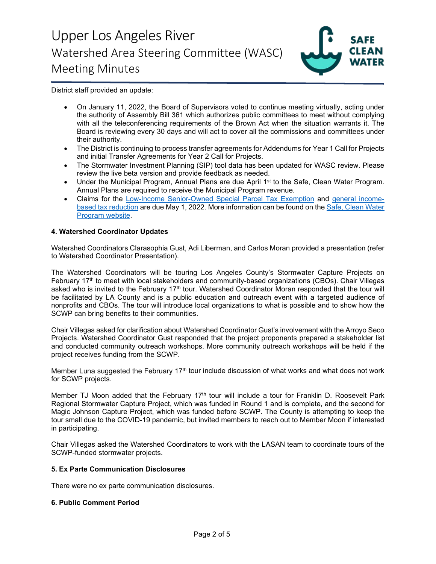

District staff provided an update:

- On January 11, 2022, the Board of Supervisors voted to continue meeting virtually, acting under the authority of Assembly Bill 361 which authorizes public committees to meet without complying with all the teleconferencing requirements of the Brown Act when the situation warrants it. The Board is reviewing every 30 days and will act to cover all the commissions and committees under their authority.
- The District is continuing to process transfer agreements for Addendums for Year 1 Call for Projects and initial Transfer Agreements for Year 2 Call for Projects.
- The Stormwater Investment Planning (SIP) tool data has been updated for WASC review. Please review the live beta version and provide feedback as needed.
- Under the Municipal Program, Annual Plans are due April 1<sup>st</sup> to the Safe, Clean Water Program. Annual Plans are required to receive the Municipal Program revenue.
- Claims for the [Low-Income Senior-Owned Special Parcel Tax Exemption](https://safecleanwaterla.org/wp-content/uploads/2021/06/Low-Income-Senior-Owned-Parcel-Application-20210621.pdf) and [general income](https://safecleanwaterla.org/wp-content/uploads/2021/06/General-Income-Based-Tax-Reduction-Application-20210607.pdf)[based tax reduction](https://safecleanwaterla.org/wp-content/uploads/2021/06/General-Income-Based-Tax-Reduction-Application-20210607.pdf) are due May 1, 2022. More information can be found on the [Safe, Clean Water](https://safecleanwaterla.org/resources/tools/)  [Program website.](https://safecleanwaterla.org/resources/tools/)

#### **4. Watershed Coordinator Updates**

Watershed Coordinators Clarasophia Gust, Adi Liberman, and Carlos Moran provided a presentation (refer to Watershed Coordinator Presentation).

The Watershed Coordinators will be touring Los Angeles County's Stormwater Capture Projects on February 17<sup>th</sup> to meet with local stakeholders and community-based organizations (CBOs). Chair Villegas asked who is invited to the February 17<sup>th</sup> tour. Watershed Coordinator Moran responded that the tour will be facilitated by LA County and is a public education and outreach event with a targeted audience of nonprofits and CBOs. The tour will introduce local organizations to what is possible and to show how the SCWP can bring benefits to their communities.

Chair Villegas asked for clarification about Watershed Coordinator Gust's involvement with the Arroyo Seco Projects. Watershed Coordinator Gust responded that the project proponents prepared a stakeholder list and conducted community outreach workshops. More community outreach workshops will be held if the project receives funding from the SCWP.

Member Luna suggested the February  $17<sup>th</sup>$  tour include discussion of what works and what does not work for SCWP projects.

Member TJ Moon added that the February 17<sup>th</sup> tour will include a tour for Franklin D. Roosevelt Park Regional Stormwater Capture Project, which was funded in Round 1 and is complete, and the second for Magic Johnson Capture Project, which was funded before SCWP. The County is attempting to keep the tour small due to the COVID-19 pandemic, but invited members to reach out to Member Moon if interested in participating.

Chair Villegas asked the Watershed Coordinators to work with the LASAN team to coordinate tours of the SCWP-funded stormwater projects.

#### **5. Ex Parte Communication Disclosures**

There were no ex parte communication disclosures.

#### **6. Public Comment Period**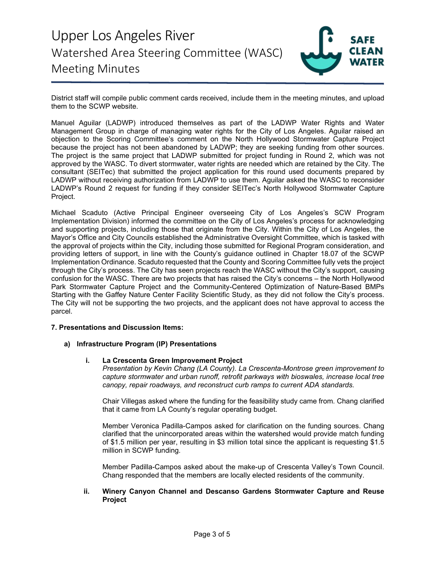

District staff will compile public comment cards received, include them in the meeting minutes, and upload them to the SCWP website.

Manuel Aguilar (LADWP) introduced themselves as part of the LADWP Water Rights and Water Management Group in charge of managing water rights for the City of Los Angeles. Aguilar raised an objection to the Scoring Committee's comment on the North Hollywood Stormwater Capture Project because the project has not been abandoned by LADWP; they are seeking funding from other sources. The project is the same project that LADWP submitted for project funding in Round 2, which was not approved by the WASC. To divert stormwater, water rights are needed which are retained by the City. The consultant (SEITec) that submitted the project application for this round used documents prepared by LADWP without receiving authorization from LADWP to use them. Aguilar asked the WASC to reconsider LADWP's Round 2 request for funding if they consider SEITec's North Hollywood Stormwater Capture Project.

Michael Scaduto (Active Principal Engineer overseeing City of Los Angeles's SCW Program Implementation Division) informed the committee on the City of Los Angeles's process for acknowledging and supporting projects, including those that originate from the City. Within the City of Los Angeles, the Mayor's Office and City Councils established the Administrative Oversight Committee, which is tasked with the approval of projects within the City, including those submitted for Regional Program consideration, and providing letters of support, in line with the County's guidance outlined in Chapter 18.07 of the SCWP Implementation Ordinance. Scaduto requested that the County and Scoring Committee fully vets the project through the City's process. The City has seen projects reach the WASC without the City's support, causing confusion for the WASC. There are two projects that has raised the City's concerns – the North Hollywood Park Stormwater Capture Project and the Community-Centered Optimization of Nature-Based BMPs Starting with the Gaffey Nature Center Facility Scientific Study, as they did not follow the City's process. The City will not be supporting the two projects, and the applicant does not have approval to access the parcel.

### **7. Presentations and Discussion Items:**

### **a) Infrastructure Program (IP) Presentations**

#### **i. La Crescenta Green Improvement Project**

*Presentation by Kevin Chang (LA County). La Crescenta-Montrose green improvement to capture stormwater and urban runoff, retrofit parkways with bioswales, increase local tree canopy, repair roadways, and reconstruct curb ramps to current ADA standards.*

Chair Villegas asked where the funding for the feasibility study came from. Chang clarified that it came from LA County's regular operating budget.

Member Veronica Padilla-Campos asked for clarification on the funding sources. Chang clarified that the unincorporated areas within the watershed would provide match funding of \$1.5 million per year, resulting in \$3 million total since the applicant is requesting \$1.5 million in SCWP funding.

Member Padilla-Campos asked about the make-up of Crescenta Valley's Town Council. Chang responded that the members are locally elected residents of the community.

#### **ii. Winery Canyon Channel and Descanso Gardens Stormwater Capture and Reuse Project**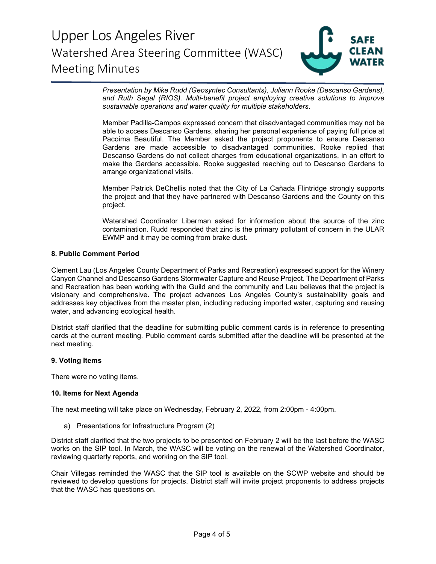

*Presentation by Mike Rudd (Geosyntec Consultants), Juliann Rooke (Descanso Gardens), and Ruth Segal (RIOS). Multi-benefit project employing creative solutions to improve sustainable operations and water quality for multiple stakeholders.*

Member Padilla-Campos expressed concern that disadvantaged communities may not be able to access Descanso Gardens, sharing her personal experience of paying full price at Pacoima Beautiful. The Member asked the project proponents to ensure Descanso Gardens are made accessible to disadvantaged communities. Rooke replied that Descanso Gardens do not collect charges from educational organizations, in an effort to make the Gardens accessible. Rooke suggested reaching out to Descanso Gardens to arrange organizational visits.

Member Patrick DeChellis noted that the City of La Cañada Flintridge strongly supports the project and that they have partnered with Descanso Gardens and the County on this project.

Watershed Coordinator Liberman asked for information about the source of the zinc contamination. Rudd responded that zinc is the primary pollutant of concern in the ULAR EWMP and it may be coming from brake dust.

#### **8. Public Comment Period**

Clement Lau (Los Angeles County Department of Parks and Recreation) expressed support for the Winery Canyon Channel and Descanso Gardens Stormwater Capture and Reuse Project. The Department of Parks and Recreation has been working with the Guild and the community and Lau believes that the project is visionary and comprehensive. The project advances Los Angeles County's sustainability goals and addresses key objectives from the master plan, including reducing imported water, capturing and reusing water, and advancing ecological health.

District staff clarified that the deadline for submitting public comment cards is in reference to presenting cards at the current meeting. Public comment cards submitted after the deadline will be presented at the next meeting.

#### **9. Voting Items**

There were no voting items.

#### **10. Items for Next Agenda**

The next meeting will take place on Wednesday, February 2, 2022, from 2:00pm - 4:00pm.

a) Presentations for Infrastructure Program (2)

District staff clarified that the two projects to be presented on February 2 will be the last before the WASC works on the SIP tool. In March, the WASC will be voting on the renewal of the Watershed Coordinator, reviewing quarterly reports, and working on the SIP tool.

Chair Villegas reminded the WASC that the SIP tool is available on the SCWP website and should be reviewed to develop questions for projects. District staff will invite project proponents to address projects that the WASC has questions on.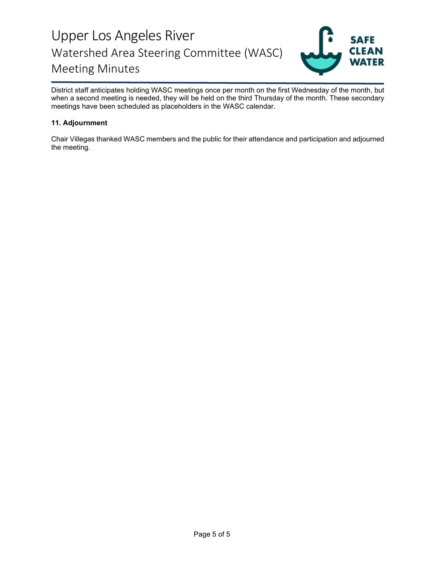

District staff anticipates holding WASC meetings once per month on the first Wednesday of the month, but when a second meeting is needed, they will be held on the third Thursday of the month. These secondary meetings have been scheduled as placeholders in the WASC calendar.

### **11. Adjournment**

Chair Villegas thanked WASC members and the public for their attendance and participation and adjourned the meeting.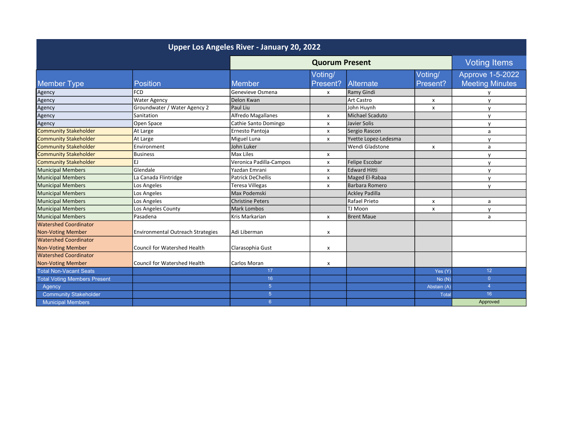| Upper Los Angeles River - January 20, 2022 |                                   |                          |                           |                        |                     |                         |
|--------------------------------------------|-----------------------------------|--------------------------|---------------------------|------------------------|---------------------|-------------------------|
|                                            |                                   | <b>Quorum Present</b>    |                           |                        | <b>Voting Items</b> |                         |
|                                            |                                   |                          | Voting/                   |                        | Voting/             | <b>Approve 1-5-2022</b> |
| <b>Member Type</b>                         | <b>Position</b>                   | Member                   | Present?                  | Alternate              | Present?            | <b>Meeting Minutes</b>  |
| Agency                                     | <b>FCD</b>                        | Genevieve Osmena         | $\boldsymbol{\mathsf{x}}$ | Ramy Gindi             |                     |                         |
| Agency                                     | <b>Water Agency</b>               | Delon Kwan               |                           | Art Castro             | x                   | $\mathsf{v}$            |
| Agency                                     | Groundwater / Water Agency 2      | Paul Liu                 |                           | John Huynh             | x                   | $\mathsf{v}$            |
| Agency                                     | Sanitation                        | Alfredo Magallanes       | x                         | <b>Michael Scaduto</b> |                     | $\mathbf v$             |
| Agency                                     | Open Space                        | Cathie Santo Domingo     | x                         | Javier Solis           |                     | $\mathsf{v}$            |
| <b>Community Stakeholder</b>               | At Large                          | Ernesto Pantoja          | x                         | Sergio Rascon          |                     | a                       |
| <b>Community Stakeholder</b>               | At Large                          | Miguel Luna              | $\pmb{\times}$            | Yvette Lopez-Ledesma   |                     | $\mathbf{v}$            |
| <b>Community Stakeholder</b>               | Environment                       | John Luker               |                           | Wendi Gladstone        | x                   | a                       |
| <b>Community Stakeholder</b>               | Business                          | Max Liles                | x                         |                        |                     | $\mathsf{v}$            |
| Community Stakeholder                      | EJ                                | Veronica Padilla-Campos  | x                         | Felipe Escobar         |                     | $\mathsf{v}$            |
| Municipal Members                          | Glendale                          | Yazdan Emrani            | X                         | <b>Edward Hitti</b>    |                     | $\mathsf{v}$            |
| Municipal Members                          | La Canada Flintridge              | <b>Patrick DeChellis</b> | x                         | Maged El-Rabaa         |                     | $\mathsf{v}$            |
| Municipal Members                          | Los Angeles                       | <b>Teresa Villegas</b>   | $\boldsymbol{\mathsf{x}}$ | Barbara Romero         |                     | $\mathsf{v}$            |
| Municipal Members                          | Los Angeles                       | Max Podemski             |                           | <b>Ackley Padilla</b>  |                     |                         |
| Municipal Members                          | Los Angeles                       | <b>Christine Peters</b>  |                           | Rafael Prieto          | x                   | a                       |
| Municipal Members                          | Los Angeles County                | <b>Mark Lombos</b>       |                           | TJ Moon                | X                   | $\mathsf{v}$            |
| Municipal Members                          | l Pasadena                        | Kris Markarian           | x                         | <b>Brent Maue</b>      |                     | a                       |
| Watershed Coordinator                      |                                   |                          |                           |                        |                     |                         |
| <b>Non-Voting Member</b>                   | Environmental Outreach Strategies | Adi Liberman             | x                         |                        |                     |                         |
| <b>Watershed Coordinator</b>               |                                   |                          |                           |                        |                     |                         |
| <b>Non-Voting Member</b>                   | Council for Watershed Health      | Clarasophia Gust         | x                         |                        |                     |                         |
| <b>Watershed Coordinator</b>               |                                   |                          |                           |                        |                     |                         |
| <b>Non-Voting Member</b>                   | Council for Watershed Health      | Carlos Moran             | x                         |                        |                     |                         |
| <b>Total Non-Vacant Seats</b>              |                                   | 17                       |                           |                        | Yes (Y)             | 12 <sup>2</sup>         |
| <b>Total Voting Members Present</b>        |                                   | 16                       |                           |                        | No(N)               | $\overline{0}$          |
| Agency                                     |                                   | $\overline{5}$           |                           |                        | Abstain (A)         | $\overline{4}$          |
| <b>Community Stakeholder</b>               |                                   | $\overline{5}$           |                           |                        | <b>Total</b>        | 16 <sup>°</sup>         |
| <b>Municipal Members</b>                   |                                   | 6                        |                           |                        |                     | Approved                |